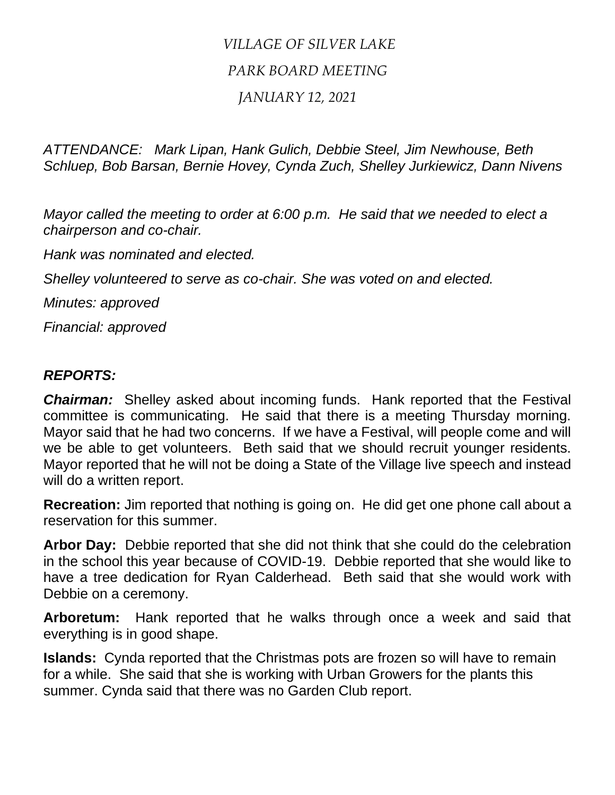## *VILLAGE OF SILVER LAKE PARK BOARD MEETING JANUARY 12, 2021*

*ATTENDANCE: Mark Lipan, Hank Gulich, Debbie Steel, Jim Newhouse, Beth Schluep, Bob Barsan, Bernie Hovey, Cynda Zuch, Shelley Jurkiewicz, Dann Nivens*

*Mayor called the meeting to order at 6:00 p.m. He said that we needed to elect a chairperson and co-chair.*

*Hank was nominated and elected.*

*Shelley volunteered to serve as co-chair. She was voted on and elected.*

*Minutes: approved*

*Financial: approved*

## *REPORTS:*

*Chairman:* Shelley asked about incoming funds. Hank reported that the Festival committee is communicating. He said that there is a meeting Thursday morning. Mayor said that he had two concerns. If we have a Festival, will people come and will we be able to get volunteers. Beth said that we should recruit younger residents. Mayor reported that he will not be doing a State of the Village live speech and instead will do a written report.

**Recreation:** Jim reported that nothing is going on. He did get one phone call about a reservation for this summer.

**Arbor Day:** Debbie reported that she did not think that she could do the celebration in the school this year because of COVID-19. Debbie reported that she would like to have a tree dedication for Ryan Calderhead. Beth said that she would work with Debbie on a ceremony.

**Arboretum:** Hank reported that he walks through once a week and said that everything is in good shape.

**Islands:** Cynda reported that the Christmas pots are frozen so will have to remain for a while. She said that she is working with Urban Growers for the plants this summer. Cynda said that there was no Garden Club report.